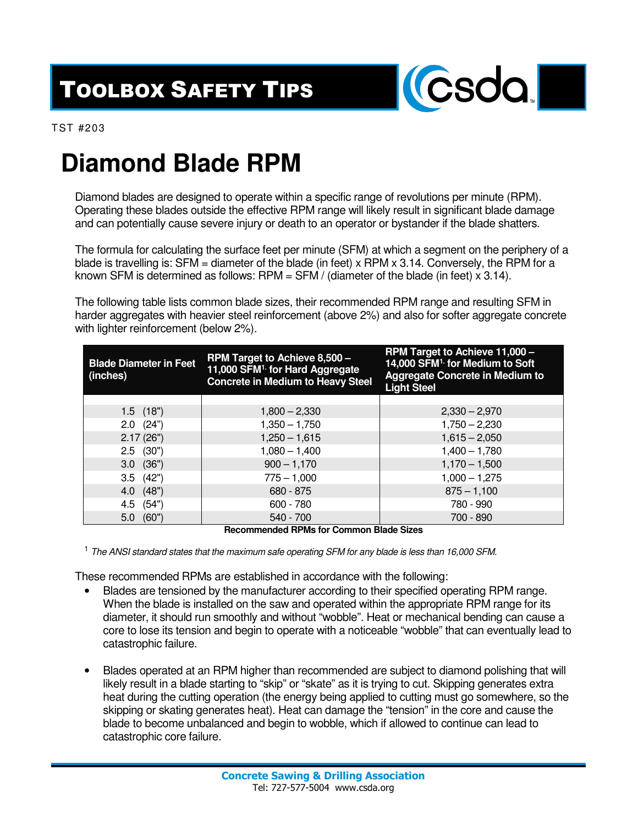## TOOLBOX SAFETY TIPS



TST #203

## **Diamond Blade RPM**

Diamond blades are designed to operate within a specific range of revolutions per minute (RPM). Operating these blades outside the effective RPM range will likely result in significant blade damage and can potentially cause severe injury or death to an operator or bystander if the blade shatters.

The formula for calculating the surface feet per minute (SFM) at which a segment on the periphery of a blade is travelling is:  $SFM =$  diameter of the blade (in feet) x RPM x 3.14. Conversely, the RPM for a known SFM is determined as follows: RPM =  $SFM$  / (diameter of the blade (in feet)  $\times$  3.14).

The following table lists common blade sizes, their recommended RPM range and resulting SFM in harder aggregates with heavier steel reinforcement (above 2%) and also for softer aggregate concrete with lighter reinforcement (below 2%).

| <b>Blade Diameter in Feet</b><br>(inches) | RPM Target to Achieve 11,000 -<br>RPM Target to Achieve 8,500 -<br>14,000 SFM <sup>1.</sup> for Medium to Soft<br>11,000 SFM <sup>1.</sup> for Hard Aggregate<br><b>Aggregate Concrete in Medium to</b><br><b>Concrete in Medium to Heavy Steel</b><br><b>Light Steel</b> |                 |
|-------------------------------------------|---------------------------------------------------------------------------------------------------------------------------------------------------------------------------------------------------------------------------------------------------------------------------|-----------------|
|                                           |                                                                                                                                                                                                                                                                           |                 |
| $1.5$ $(18")$                             | $1,800 - 2,330$                                                                                                                                                                                                                                                           | $2,330 - 2,970$ |
| $2.0$ $(24")$                             | $1,350 - 1,750$                                                                                                                                                                                                                                                           | $1,750 - 2,230$ |
| 2.17(26")                                 | $1,250 - 1,615$                                                                                                                                                                                                                                                           | $1,615 - 2,050$ |
| $2.5$ (30")                               | $1,080 - 1,400$                                                                                                                                                                                                                                                           | $1,400 - 1,780$ |
| $3.0$ $(36")$                             | $900 - 1,170$                                                                                                                                                                                                                                                             | $1,170 - 1,500$ |
| $3.5$ $(42")$                             | $775 - 1,000$                                                                                                                                                                                                                                                             | $1,000 - 1,275$ |
| 4.0 (48")                                 | $680 - 875$                                                                                                                                                                                                                                                               | $875 - 1,100$   |
| 4.5 (54")                                 | $600 - 780$                                                                                                                                                                                                                                                               | 780 - 990       |
| (60"<br>5.0                               | $540 - 700$                                                                                                                                                                                                                                                               | 700 - 890       |

**Recommended RPMs for Common Blade Sizes** 

 $<sup>1</sup>$  The ANSI standard states that the maximum safe operating SFM for any blade is less than 16,000 SFM.</sup>

These recommended RPMs are established in accordance with the following:

- Blades are tensioned by the manufacturer according to their specified operating RPM range. When the blade is installed on the saw and operated within the appropriate RPM range for its diameter, it should run smoothly and without "wobble". Heat or mechanical bending can cause a core to lose its tension and begin to operate with a noticeable "wobble" that can eventually lead to catastrophic failure.
- Blades operated at an RPM higher than recommended are subject to diamond polishing that will likely result in a blade starting to "skip" or "skate" as it is trying to cut. Skipping generates extra heat during the cutting operation (the energy being applied to cutting must go somewhere, so the skipping or skating generates heat). Heat can damage the "tension" in the core and cause the blade to become unbalanced and begin to wobble, which if allowed to continue can lead to catastrophic core failure.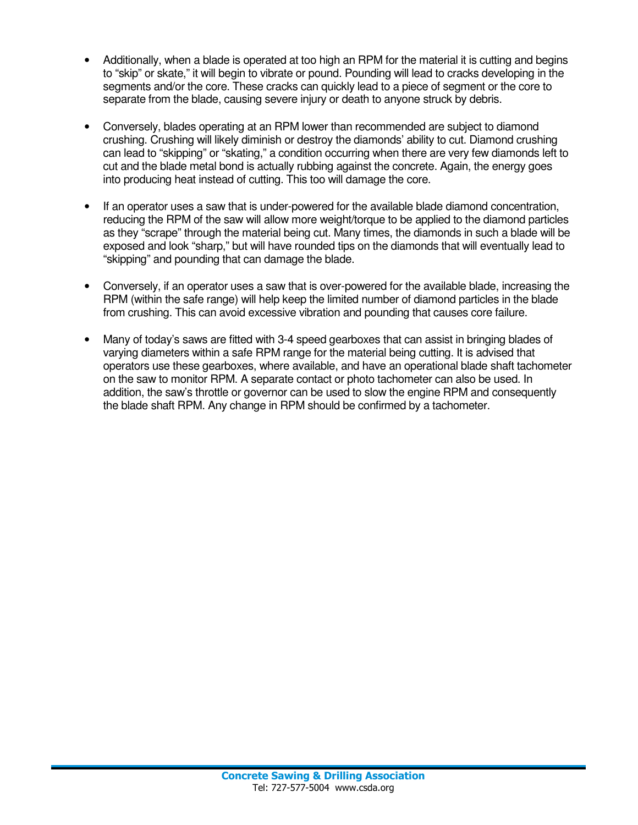- Additionally, when a blade is operated at too high an RPM for the material it is cutting and begins to "skip" or skate," it will begin to vibrate or pound. Pounding will lead to cracks developing in the segments and/or the core. These cracks can quickly lead to a piece of segment or the core to separate from the blade, causing severe injury or death to anyone struck by debris.
- Conversely, blades operating at an RPM lower than recommended are subject to diamond crushing. Crushing will likely diminish or destroy the diamonds' ability to cut. Diamond crushing can lead to "skipping" or "skating," a condition occurring when there are very few diamonds left to cut and the blade metal bond is actually rubbing against the concrete. Again, the energy goes into producing heat instead of cutting. This too will damage the core.
- If an operator uses a saw that is under-powered for the available blade diamond concentration, reducing the RPM of the saw will allow more weight/torque to be applied to the diamond particles as they "scrape" through the material being cut. Many times, the diamonds in such a blade will be exposed and look "sharp," but will have rounded tips on the diamonds that will eventually lead to "skipping" and pounding that can damage the blade.
- Conversely, if an operator uses a saw that is over-powered for the available blade, increasing the RPM (within the safe range) will help keep the limited number of diamond particles in the blade from crushing. This can avoid excessive vibration and pounding that causes core failure.
- Many of today's saws are fitted with 3-4 speed gearboxes that can assist in bringing blades of varying diameters within a safe RPM range for the material being cutting. It is advised that operators use these gearboxes, where available, and have an operational blade shaft tachometer on the saw to monitor RPM. A separate contact or photo tachometer can also be used. In addition, the saw's throttle or governor can be used to slow the engine RPM and consequently the blade shaft RPM. Any change in RPM should be confirmed by a tachometer.